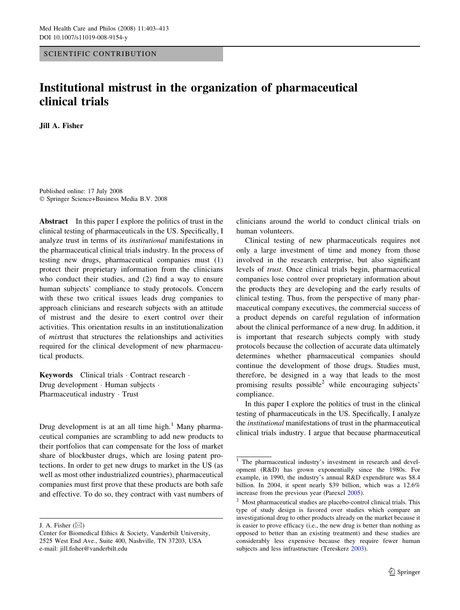# SCIENTIFIC CONTRIBUTION

# Institutional mistrust in the organization of pharmaceutical clinical trials

Jill A. Fisher

Published online: 17 July 2008 ! Springer Science+Business Media B.V. 2008

Abstract In this paper I explore the politics of trust in the clinical testing of pharmaceuticals in the US. Specifically, I analyze trust in terms of its institutional manifestations in the pharmaceutical clinical trials industry. In the process of testing new drugs, pharmaceutical companies must (1) protect their proprietary information from the clinicians who conduct their studies, and (2) find a way to ensure human subjects' compliance to study protocols. Concern with these two critical issues leads drug companies to approach clinicians and research subjects with an attitude of mistrust and the desire to exert control over their activities. This orientation results in an institutionalization of mistrust that structures the relationships and activities required for the clinical development of new pharmaceutical products.

Keywords Clinical trials · Contract research · Drug development · Human subjects · Pharmaceutical industry · Trust

Drug development is at an all time high. $<sup>1</sup>$  Many pharma-</sup> ceutical companies are scrambling to add new products to their portfolios that can compensate for the loss of market share of blockbuster drugs, which are losing patent protections. In order to get new drugs to market in the US (as well as most other industrialized countries), pharmaceutical companies must first prove that these products are both safe and effective. To do so, they contract with vast numbers of

J. A. Fisher  $(\boxtimes)$ 

clinicians around the world to conduct clinical trials on human volunteers.

Clinical testing of new pharmaceuticals requires not only a large investment of time and money from those involved in the research enterprise, but also significant levels of trust. Once clinical trials begin, pharmaceutical companies lose control over proprietary information about the products they are developing and the early results of clinical testing. Thus, from the perspective of many pharmaceutical company executives, the commercial success of a product depends on careful regulation of information about the clinical performance of a new drug. In addition, it is important that research subjects comply with study protocols because the collection of accurate data ultimately determines whether pharmaceutical companies should continue the development of those drugs. Studies must, therefore, be designed in a way that leads to the most promising results possible $2$  while encouraging subjects' compliance.

In this paper I explore the politics of trust in the clinical testing of pharmaceuticals in the US. Specifically, I analyze the institutional manifestations of trust in the pharmaceutical clinical trials industry. I argue that because pharmaceutical

Center for Biomedical Ethics & Society, Vanderbilt University, 2525 West End Ave., Suite 400, Nashville, TN 37203, USA e-mail: jill.fisher@vanderbilt.edu

<sup>&</sup>lt;sup>1</sup> The pharmaceutical industry's investment in research and development (R&D) has grown exponentially since the 1980s. For example, in 1990, the industry's annual R&D expenditure was \$8.4 billion. In 2004, it spent nearly \$39 billion, which was a 12.6% increase from the previous year (Parexel [2005\)](#page-10-0).

<sup>&</sup>lt;sup>2</sup> Most pharmaceutical studies are placebo-control clinical trials. This type of study design is favored over studies which compare an investigational drug to other products already on the market because it is easier to prove efficacy (i.e., the new drug is better than nothing as opposed to better than an existing treatment) and these studies are considerably less expensive because they require fewer human subjects and less infrastructure (Tereskerz [2003\)](#page-10-0).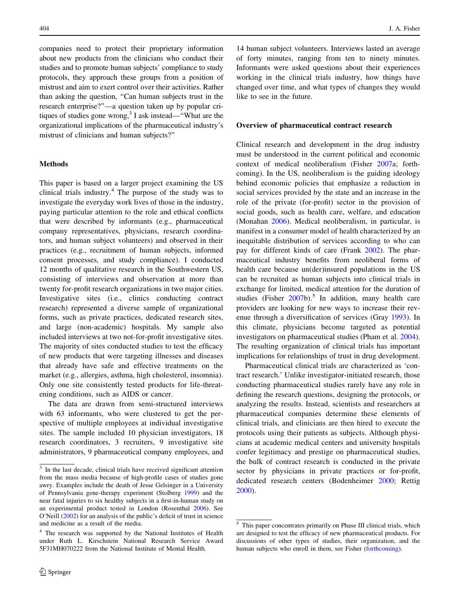companies need to protect their proprietary information about new products from the clinicians who conduct their studies and to promote human subjects' compliance to study protocols, they approach these groups from a position of mistrust and aim to exert control over their activities. Rather than asking the question, ''Can human subjects trust in the research enterprise?''—a question taken up by popular critiques of studies gone wrong,<sup>3</sup> I ask instead—"What are the organizational implications of the pharmaceutical industry's mistrust of clinicians and human subjects?''

# Methods

This paper is based on a larger project examining the US clinical trials industry.<sup>4</sup> The purpose of the study was to investigate the everyday work lives of those in the industry, paying particular attention to the role and ethical conflicts that were described by informants (e.g., pharmaceutical company representatives, physicians, research coordinators, and human subject volunteers) and observed in their practices (e.g., recruitment of human subjects, informed consent processes, and study compliance). I conducted 12 months of qualitative research in the Southwestern US, consisting of interviews and observation at more than twenty for-profit research organizations in two major cities. Investigative sites (i.e., clinics conducting contract research) represented a diverse sample of organizational forms, such as private practices, dedicated research sites, and large (non-academic) hospitals. My sample also included interviews at two not-for-profit investigative sites. The majority of sites conducted studies to test the efficacy of new products that were targeting illnesses and diseases that already have safe and effective treatments on the market (e.g., allergies, asthma, high cholesterol, insomnia). Only one site consistently tested products for life-threatening conditions, such as AIDS or cancer.

The data are drawn from semi-structured interviews with 63 informants, who were clustered to get the perspective of multiple employees at individual investigative sites. The sample included 10 physician investigators, 18 research coordinators, 3 recruiters, 9 investigative site administrators, 9 pharmaceutical company employees, and

14 human subject volunteers. Interviews lasted an average of forty minutes, ranging from ten to ninety minutes. Informants were asked questions about their experiences working in the clinical trials industry, how things have changed over time, and what types of changes they would like to see in the future.

### Overview of pharmaceutical contract research

Clinical research and development in the drug industry must be understood in the current political and economic context of medical neoliberalism (Fisher [2007](#page-9-0)a; forthcoming). In the US, neoliberalism is the guiding ideology behind economic policies that emphasize a reduction in social services provided by the state and an increase in the role of the private (for-profit) sector in the provision of social goods, such as health care, welfare, and education (Monahan [2006\)](#page-10-0). Medical neoliberalism, in particular, is manifest in a consumer model of health characterized by an inequitable distribution of services according to who can pay for different kinds of care (Frank [2002](#page-10-0)). The pharmaceutical industry benefits from neoliberal forms of health care because un(der)insured populations in the US can be recruited as human subjects into clinical trials in exchange for limited, medical attention for the duration of studies (Fisher  $2007b$ ).<sup>5</sup> In addition, many health care providers are looking for new ways to increase their revenue through a diversification of services (Gray [1993\)](#page-10-0). In this climate, physicians become targeted as potential investigators on pharmaceutical studies (Pham et al. [2004](#page-10-0)). The resulting organization of clinical trials has important implications for relationships of trust in drug development.

Pharmaceutical clinical trials are characterized as 'contract research.' Unlike investigator-initiated research, those conducting pharmaceutical studies rarely have any role in defining the research questions, designing the protocols, or analyzing the results. Instead, scientists and researchers at pharmaceutical companies determine these elements of clinical trials, and clinicians are then hired to execute the protocols using their patients as subjects. Although physicians at academic medical centers and university hospitals confer legitimacy and prestige on pharmaceutical studies, the bulk of contract research is conducted in the private sector by physicians in private practices or for-profit, dedicated research centers (Bodenheimer [2000](#page-9-0); Rettig [2000](#page-10-0)).

<sup>&</sup>lt;sup>3</sup> In the last decade, clinical trials have received significant attention from the mass media because of high-profile cases of studies gone awry. Examples include the death of Jesse Gelsinger in a University of Pennsylvania gene-therapy experiment (Stolberg [1999](#page-10-0)) and the near fatal injuries to six healthy subjects in a first-in-human study on an experimental product tested in London (Rosenthal [2006](#page-10-0)). See O'Neill ([2002\)](#page-10-0) for an analysis of the public's deficit of trust in science and medicine as a result of the media.

<sup>4</sup> The research was supported by the National Institutes of Health under Ruth L. Kirschstein National Research Service Award 5F31MH070222 from the National Institute of Mental Health.

<sup>5</sup> This paper concentrates primarily on Phase III clinical trials, which are designed to test the efficacy of new pharmaceutical products. For discussions of other types of studies, their organization, and the human subjects who enroll in them, see Fisher [\(forthcoming](#page-9-0)).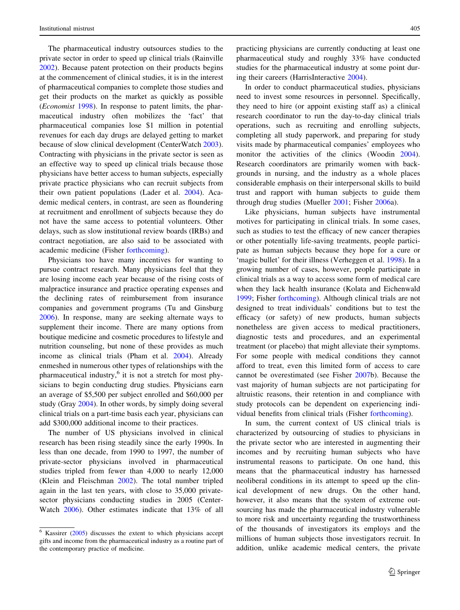The pharmaceutical industry outsources studies to the private sector in order to speed up clinical trials (Rainville [2002\)](#page-10-0). Because patent protection on their products begins at the commencement of clinical studies, it is in the interest of pharmaceutical companies to complete those studies and get their products on the market as quickly as possible (Economist [1998\)](#page-9-0). In response to patent limits, the pharmaceutical industry often mobilizes the 'fact' that pharmaceutical companies lose \$1 million in potential revenues for each day drugs are delayed getting to market because of slow clinical development (CenterWatch [2003](#page-9-0)). Contracting with physicians in the private sector is seen as an effective way to speed up clinical trials because those physicians have better access to human subjects, especially private practice physicians who can recruit subjects from their own patient populations (Lader et al. [2004\)](#page-10-0). Academic medical centers, in contrast, are seen as floundering at recruitment and enrollment of subjects because they do not have the same access to potential volunteers. Other delays, such as slow institutional review boards (IRBs) and contract negotiation, are also said to be associated with academic medicine (Fisher [forthcoming\)](#page-9-0).

Physicians too have many incentives for wanting to pursue contract research. Many physicians feel that they are losing income each year because of the rising costs of malpractice insurance and practice operating expenses and the declining rates of reimbursement from insurance companies and government programs (Tu and Ginsburg [2006\)](#page-10-0). In response, many are seeking alternate ways to supplement their income. There are many options from boutique medicine and cosmetic procedures to lifestyle and nutrition counseling, but none of these provides as much income as clinical trials (Pham et al. [2004\)](#page-10-0). Already enmeshed in numerous other types of relationships with the pharmaceutical industry,<sup>6</sup> it is not a stretch for most physicians to begin conducting drug studies. Physicians earn an average of \$5,500 per subject enrolled and \$60,000 per study (Gray [2004](#page-10-0)). In other words, by simply doing several clinical trials on a part-time basis each year, physicians can add \$300,000 additional income to their practices.

The number of US physicians involved in clinical research has been rising steadily since the early 1990s. In less than one decade, from 1990 to 1997, the number of private-sector physicians involved in pharmaceutical studies tripled from fewer than 4,000 to nearly 12,000 (Klein and Fleischman [2002\)](#page-10-0). The total number tripled again in the last ten years, with close to 35,000 privatesector physicians conducting studies in 2005 (Center-Watch [2006\)](#page-9-0). Other estimates indicate that 13% of all

practicing physicians are currently conducting at least one pharmaceutical study and roughly 33% have conducted studies for the pharmaceutical industry at some point during their careers (HarrisInteractive [2004](#page-10-0)).

In order to conduct pharmaceutical studies, physicians need to invest some resources in personnel. Specifically, they need to hire (or appoint existing staff as) a clinical research coordinator to run the day-to-day clinical trials operations, such as recruiting and enrolling subjects, completing all study paperwork, and preparing for study visits made by pharmaceutical companies' employees who monitor the activities of the clinics (Woodin [2004](#page-10-0)). Research coordinators are primarily women with backgrounds in nursing, and the industry as a whole places considerable emphasis on their interpersonal skills to build trust and rapport with human subjects to guide them through drug studies (Mueller [2001;](#page-10-0) Fisher [2006a](#page-9-0)).

Like physicians, human subjects have instrumental motives for participating in clinical trials. In some cases, such as studies to test the efficacy of new cancer therapies or other potentially life-saving treatments, people participate as human subjects because they hope for a cure or 'magic bullet' for their illness (Verheggen et al. [1998\)](#page-10-0). In a growing number of cases, however, people participate in clinical trials as a way to access some form of medical care when they lack health insurance (Kolata and Eichenwald [1999](#page-10-0); Fisher [forthcoming\)](#page-9-0). Although clinical trials are not designed to treat individuals' conditions but to test the efficacy (or safety) of new products, human subjects nonetheless are given access to medical practitioners, diagnostic tests and procedures, and an experimental treatment (or placebo) that might alleviate their symptoms. For some people with medical conditions they cannot afford to treat, even this limited form of access to care cannot be overestimated (see Fisher [2007b](#page-9-0)). Because the vast majority of human subjects are not participating for altruistic reasons, their retention in and compliance with study protocols can be dependent on experiencing individual benefits from clinical trials (Fisher [forthcoming](#page-9-0)).

In sum, the current context of US clinical trials is characterized by outsourcing of studies to physicians in the private sector who are interested in augmenting their incomes and by recruiting human subjects who have instrumental reasons to participate. On one hand, this means that the pharmaceutical industry has harnessed neoliberal conditions in its attempt to speed up the clinical development of new drugs. On the other hand, however, it also means that the system of extreme outsourcing has made the pharmaceutical industry vulnerable to more risk and uncertainty regarding the trustworthiness of the thousands of investigators its employs and the millions of human subjects those investigators recruit. In addition, unlike academic medical centers, the private

<sup>6</sup> Kassirer [\(2005](#page-10-0)) discusses the extent to which physicians accept gifts and income from the pharmaceutical industry as a routine part of the contemporary practice of medicine.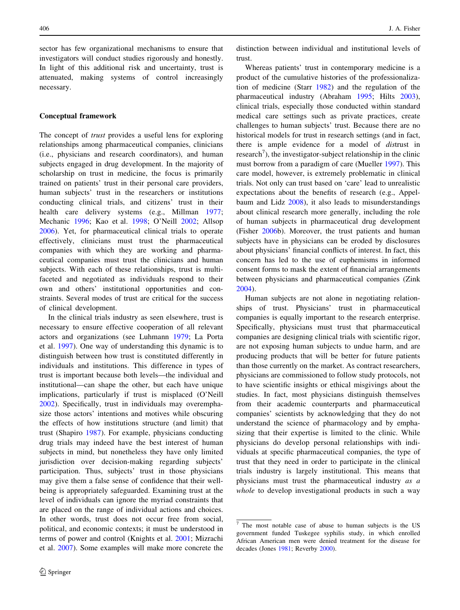sector has few organizational mechanisms to ensure that investigators will conduct studies rigorously and honestly. In light of this additional risk and uncertainty, trust is attenuated, making systems of control increasingly necessary.

#### Conceptual framework

The concept of trust provides a useful lens for exploring relationships among pharmaceutical companies, clinicians (i.e., physicians and research coordinators), and human subjects engaged in drug development. In the majority of scholarship on trust in medicine, the focus is primarily trained on patients' trust in their personal care providers, human subjects' trust in the researchers or institutions conducting clinical trials, and citizens' trust in their health care delivery systems (e.g., Millman [1977](#page-10-0); Mechanic [1996;](#page-10-0) Kao et al. [1998;](#page-10-0) O'Neill [2002;](#page-10-0) Allsop [2006\)](#page-9-0). Yet, for pharmaceutical clinical trials to operate effectively, clinicians must trust the pharmaceutical companies with which they are working and pharmaceutical companies must trust the clinicians and human subjects. With each of these relationships, trust is multifaceted and negotiated as individuals respond to their own and others' institutional opportunities and constraints. Several modes of trust are critical for the success of clinical development.

In the clinical trials industry as seen elsewhere, trust is necessary to ensure effective cooperation of all relevant actors and organizations (see Luhmann [1979](#page-10-0); La Porta et al. [1997\)](#page-10-0). One way of understanding this dynamic is to distinguish between how trust is constituted differently in individuals and institutions. This difference in types of trust is important because both levels—the individual and institutional—can shape the other, but each have unique implications, particularly if trust is misplaced (O'Neill [2002\)](#page-10-0). Specifically, trust in individuals may overemphasize those actors' intentions and motives while obscuring the effects of how institutions structure (and limit) that trust (Shapiro [1987\)](#page-10-0). For example, physicians conducting drug trials may indeed have the best interest of human subjects in mind, but nonetheless they have only limited jurisdiction over decision-making regarding subjects' participation. Thus, subjects' trust in those physicians may give them a false sense of confidence that their wellbeing is appropriately safeguarded. Examining trust at the level of individuals can ignore the myriad constraints that are placed on the range of individual actions and choices. In other words, trust does not occur free from social, political, and economic contexts; it must be understood in terms of power and control (Knights et al. [2001;](#page-10-0) Mizrachi et al. [2007\)](#page-10-0). Some examples will make more concrete the

distinction between individual and institutional levels of trust.

Whereas patients' trust in contemporary medicine is a product of the cumulative histories of the professionalization of medicine (Starr [1982\)](#page-10-0) and the regulation of the pharmaceutical industry (Abraham [1995](#page-9-0); Hilts [2003](#page-10-0)), clinical trials, especially those conducted within standard medical care settings such as private practices, create challenges to human subjects' trust. Because there are no historical models for trust in research settings (and in fact, there is ample evidence for a model of distrust in  $research<sup>7</sup>$ , the investigator-subject relationship in the clinic must borrow from a paradigm of care (Mueller [1997\)](#page-10-0). This care model, however, is extremely problematic in clinical trials. Not only can trust based on 'care' lead to unrealistic expectations about the benefits of research (e.g., Appelbaum and Lidz [2008](#page-9-0)), it also leads to misunderstandings about clinical research more generally, including the role of human subjects in pharmaceutical drug development (Fisher [2006](#page-9-0)b). Moreover, the trust patients and human subjects have in physicians can be eroded by disclosures about physicians' financial conflicts of interest. In fact, this concern has led to the use of euphemisms in informed consent forms to mask the extent of financial arrangements between physicians and pharmaceutical companies (Zink [2004](#page-10-0)).

Human subjects are not alone in negotiating relationships of trust. Physicians' trust in pharmaceutical companies is equally important to the research enterprise. Specifically, physicians must trust that pharmaceutical companies are designing clinical trials with scientific rigor, are not exposing human subjects to undue harm, and are producing products that will be better for future patients than those currently on the market. As contract researchers, physicians are commissioned to follow study protocols, not to have scientific insights or ethical misgivings about the studies. In fact, most physicians distinguish themselves from their academic counterparts and pharmaceutical companies' scientists by acknowledging that they do not understand the science of pharmacology and by emphasizing that their expertise is limited to the clinic. While physicians do develop personal relationships with individuals at specific pharmaceutical companies, the type of trust that they need in order to participate in the clinical trials industry is largely institutional. This means that physicians must trust the pharmaceutical industry as a whole to develop investigational products in such a way

 $\frac{7}{7}$  The most notable case of abuse to human subjects is the US government funded Tuskegee syphilis study, in which enrolled African American men were denied treatment for the disease for decades (Jones [1981](#page-10-0); Reverby [2000\)](#page-10-0).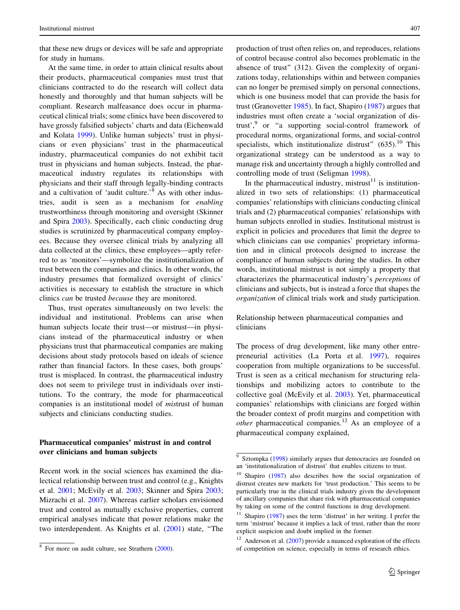that these new drugs or devices will be safe and appropriate for study in humans.

At the same time, in order to attain clinical results about their products, pharmaceutical companies must trust that clinicians contracted to do the research will collect data honestly and thoroughly and that human subjects will be compliant. Research malfeasance does occur in pharmaceutical clinical trials; some clinics have been discovered to have grossly falsified subjects' charts and data (Eichenwald and Kolata [1999\)](#page-9-0). Unlike human subjects' trust in physicians or even physicians' trust in the pharmaceutical industry, pharmaceutical companies do not exhibit tacit trust in physicians and human subjects. Instead, the pharmaceutical industry regulates its relationships with physicians and their staff through legally-binding contracts and a cultivation of 'audit culture.<sup>8</sup> As with other industries, audit is seen as a mechanism for enabling trustworthiness through monitoring and oversight (Skinner and Spira [2003](#page-10-0)). Specifically, each clinic conducting drug studies is scrutinized by pharmaceutical company employees. Because they oversee clinical trials by analyzing all data collected at the clinics, these employees—aptly referred to as 'monitors'—symbolize the institutionalization of trust between the companies and clinics. In other words, the industry presumes that formalized oversight of clinics' activities is necessary to establish the structure in which clinics can be trusted because they are monitored.

Thus, trust operates simultaneously on two levels: the individual and institutional. Problems can arise when human subjects locate their trust—or mistrust—in physicians instead of the pharmaceutical industry or when physicians trust that pharmaceutical companies are making decisions about study protocols based on ideals of science rather than financial factors. In these cases, both groups' trust is misplaced. In contrast, the pharmaceutical industry does not seem to privilege trust in individuals over institutions. To the contrary, the mode for pharmaceutical companies is an institutional model of mistrust of human subjects and clinicians conducting studies.

# Pharmaceutical companies' mistrust in and control over clinicians and human subjects

Recent work in the social sciences has examined the dialectical relationship between trust and control (e.g., Knights et al. [2001;](#page-10-0) McEvily et al. [2003](#page-10-0); Skinner and Spira [2003](#page-10-0); Mizrachi et al. [2007\)](#page-10-0). Whereas earlier scholars envisioned trust and control as mutually exclusive properties, current empirical analyses indicate that power relations make the two interdependent. As Knights et al. [\(2001](#page-10-0)) state, ''The production of trust often relies on, and reproduces, relations of control because control also becomes problematic in the absence of trust'' (312). Given the complexity of organizations today, relationships within and between companies can no longer be premised simply on personal connections, which is one business model that can provide the basis for trust (Granovetter [1985\)](#page-10-0). In fact, Shapiro [\(1987](#page-10-0)) argues that industries must often create a 'social organization of distrust',<sup>9</sup> or "a supporting social-control framework of procedural norms, organizational forms, and social-control specialists, which institutionalize distrust"  $(635)$ .<sup>10</sup> This organizational strategy can be understood as a way to manage risk and uncertainty through a highly controlled and controlling mode of trust (Seligman [1998\)](#page-10-0).

In the pharmaceutical industry, mistrust<sup>11</sup> is institutionalized in two sets of relationships: (1) pharmaceutical companies' relationships with clinicians conducting clinical trials and (2) pharmaceutical companies' relationships with human subjects enrolled in studies. Institutional mistrust is explicit in policies and procedures that limit the degree to which clinicians can use companies' proprietary information and in clinical protocols designed to increase the compliance of human subjects during the studies. In other words, institutional mistrust is not simply a property that characterizes the pharmaceutical industry's perceptions of clinicians and subjects, but is instead a force that shapes the organization of clinical trials work and study participation.

Relationship between pharmaceutical companies and clinicians

The process of drug development, like many other entrepreneurial activities (La Porta et al. [1997](#page-10-0)), requires cooperation from multiple organizations to be successful. Trust is seen as a critical mechanism for structuring relationships and mobilizing actors to contribute to the collective goal (McEvily et al. [2003\)](#page-10-0). Yet, pharmaceutical companies' relationships with clinicians are forged within the broader context of profit margins and competition with *other* pharmaceutical companies.<sup>12</sup> As an employee of a pharmaceutical company explained,

<sup>&</sup>lt;sup>8</sup> For more on audit culture, see Strathern [\(2000](#page-10-0)).

<sup>9</sup> Sztompka ([1998\)](#page-10-0) similarly argues that democracies are founded on an 'institutionalization of distrust' that enables citizens to trust.

<sup>10</sup> Shapiro ([1987\)](#page-10-0) also describes how the social organization of distrust creates new markets for 'trust production.' This seems to be particularly true in the clinical trials industry given the development of ancillary companies that share risk with pharmaceutical companies by taking on some of the control functions in drug development.

<sup>&</sup>lt;sup>11</sup> Shapiro ([1987\)](#page-10-0) uses the term 'distrust' in her writing. I prefer the term 'mistrust' because it implies a lack of trust, rather than the more explicit suspicion and doubt implied in the former.

 $12$  Anderson et al. ([2007\)](#page-9-0) provide a nuanced exploration of the effects of competition on science, especially in terms of research ethics.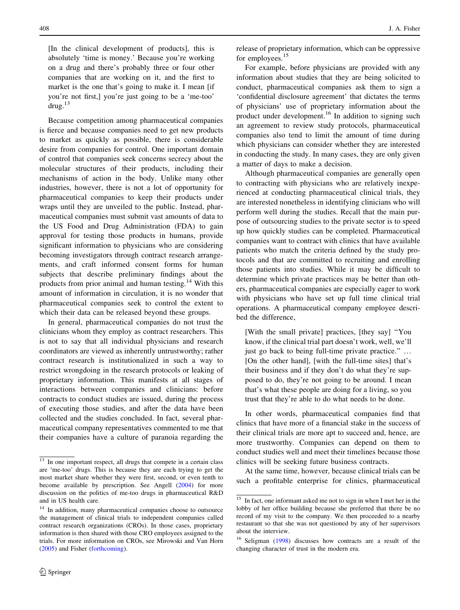[In the clinical development of products], this is absolutely 'time is money.' Because you're working on a drug and there's probably three or four other companies that are working on it, and the first to market is the one that's going to make it. I mean [if you're not first,] you're just going to be a 'me-too'  $\frac{d \ln 13}{d}$ 

Because competition among pharmaceutical companies is fierce and because companies need to get new products to market as quickly as possible, there is considerable desire from companies for control. One important domain of control that companies seek concerns secrecy about the molecular structures of their products, including their mechanisms of action in the body. Unlike many other industries, however, there is not a lot of opportunity for pharmaceutical companies to keep their products under wraps until they are unveiled to the public. Instead, pharmaceutical companies must submit vast amounts of data to the US Food and Drug Administration (FDA) to gain approval for testing those products in humans, provide significant information to physicians who are considering becoming investigators through contract research arrangements, and craft informed consent forms for human subjects that describe preliminary findings about the products from prior animal and human testing.<sup>14</sup> With this amount of information in circulation, it is no wonder that pharmaceutical companies seek to control the extent to which their data can be released beyond these groups.

In general, pharmaceutical companies do not trust the clinicians whom they employ as contract researchers. This is not to say that all individual physicians and research coordinators are viewed as inherently untrustworthy; rather contract research is institutionalized in such a way to restrict wrongdoing in the research protocols or leaking of proprietary information. This manifests at all stages of interactions between companies and clinicians: before contracts to conduct studies are issued, during the process of executing those studies, and after the data have been collected and the studies concluded. In fact, several pharmaceutical company representatives commented to me that their companies have a culture of paranoia regarding the release of proprietary information, which can be oppressive for employees.<sup>15</sup>

For example, before physicians are provided with any information about studies that they are being solicited to conduct, pharmaceutical companies ask them to sign a 'confidential disclosure agreement' that dictates the terms of physicians' use of proprietary information about the product under development.<sup>16</sup> In addition to signing such an agreement to review study protocols, pharmaceutical companies also tend to limit the amount of time during which physicians can consider whether they are interested in conducting the study. In many cases, they are only given a matter of days to make a decision.

Although pharmaceutical companies are generally open to contracting with physicians who are relatively inexperienced at conducting pharmaceutical clinical trials, they are interested nonetheless in identifying clinicians who will perform well during the studies. Recall that the main purpose of outsourcing studies to the private sector is to speed up how quickly studies can be completed. Pharmaceutical companies want to contract with clinics that have available patients who match the criteria defined by the study protocols and that are committed to recruiting and enrolling those patients into studies. While it may be difficult to determine which private practices may be better than others, pharmaceutical companies are especially eager to work with physicians who have set up full time clinical trial operations. A pharmaceutical company employee described the difference,

[With the small private] practices, [they say] ''You know, if the clinical trial part doesn't work, well, we'll just go back to being full-time private practice.'' … [On the other hand], [with the full-time sites] that's their business and if they don't do what they're supposed to do, they're not going to be around. I mean that's what these people are doing for a living, so you trust that they're able to do what needs to be done.

In other words, pharmaceutical companies find that clinics that have more of a financial stake in the success of their clinical trials are more apt to succeed and, hence, are more trustworthy. Companies can depend on them to conduct studies well and meet their timelines because those clinics will be seeking future business contracts.

At the same time, however, because clinical trials can be such a profitable enterprise for clinics, pharmaceutical

<sup>&</sup>lt;sup>13</sup> In one important respect, all drugs that compete in a certain class are 'me-too' drugs. This is because they are each trying to get the most market share whether they were first, second, or even tenth to become available by prescription. See Angell ([2004\)](#page-9-0) for more discussion on the politics of me-too drugs in pharmaceutical R&D and in US health care.

<sup>&</sup>lt;sup>14</sup> In addition, many pharmaceutical companies choose to outsource the management of clinical trials to independent companies called contract research organizations (CROs). In those cases, proprietary information is then shared with those CRO employees assigned to the trials. For more information on CROs, see Mirowski and Van Horn ([2005\)](#page-10-0) and Fisher [\(forthcoming](#page-9-0)).

 $\frac{15}{15}$  In fact, one informant asked me not to sign in when I met her in the lobby of her office building because she preferred that there be no record of my visit to the company. We then proceeded to a nearby restaurant so that she was not questioned by any of her supervisors about the interview.

<sup>16</sup> Seligman ([1998\)](#page-10-0) discusses how contracts are a result of the changing character of trust in the modern era.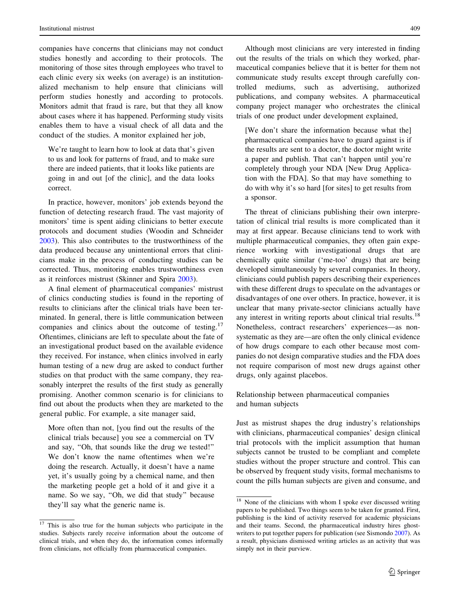companies have concerns that clinicians may not conduct studies honestly and according to their protocols. The monitoring of those sites through employees who travel to each clinic every six weeks (on average) is an institutionalized mechanism to help ensure that clinicians will perform studies honestly and according to protocols. Monitors admit that fraud is rare, but that they all know about cases where it has happened. Performing study visits enables them to have a visual check of all data and the conduct of the studies. A monitor explained her job,

We're taught to learn how to look at data that's given to us and look for patterns of fraud, and to make sure there are indeed patients, that it looks like patients are going in and out [of the clinic], and the data looks correct.

In practice, however, monitors' job extends beyond the function of detecting research fraud. The vast majority of monitors' time is spent aiding clinicians to better execute protocols and document studies (Woodin and Schneider [2003\)](#page-10-0). This also contributes to the trustworthiness of the data produced because any unintentional errors that clinicians make in the process of conducting studies can be corrected. Thus, monitoring enables trustworthiness even as it reinforces mistrust (Skinner and Spira [2003](#page-10-0)).

A final element of pharmaceutical companies' mistrust of clinics conducting studies is found in the reporting of results to clinicians after the clinical trials have been terminated. In general, there is little communication between companies and clinics about the outcome of testing.<sup>17</sup> Oftentimes, clinicians are left to speculate about the fate of an investigational product based on the available evidence they received. For instance, when clinics involved in early human testing of a new drug are asked to conduct further studies on that product with the same company, they reasonably interpret the results of the first study as generally promising. Another common scenario is for clinicians to find out about the products when they are marketed to the general public. For example, a site manager said,

More often than not, [you find out the results of the clinical trials because] you see a commercial on TV and say, ''Oh, that sounds like the drug we tested!'' We don't know the name oftentimes when we're doing the research. Actually, it doesn't have a name yet, it's usually going by a chemical name, and then the marketing people get a hold of it and give it a name. So we say, ''Oh, we did that study'' because they'll say what the generic name is.

Although most clinicians are very interested in finding out the results of the trials on which they worked, pharmaceutical companies believe that it is better for them not communicate study results except through carefully controlled mediums, such as advertising, authorized publications, and company websites. A pharmaceutical company project manager who orchestrates the clinical trials of one product under development explained,

[We don't share the information because what the] pharmaceutical companies have to guard against is if the results are sent to a doctor, the doctor might write a paper and publish. That can't happen until you're completely through your NDA [New Drug Application with the FDA]. So that may have something to do with why it's so hard [for sites] to get results from a sponsor.

The threat of clinicians publishing their own interpretation of clinical trial results is more complicated than it may at first appear. Because clinicians tend to work with multiple pharmaceutical companies, they often gain experience working with investigational drugs that are chemically quite similar ('me-too' drugs) that are being developed simultaneously by several companies. In theory, clinicians could publish papers describing their experiences with these different drugs to speculate on the advantages or disadvantages of one over others. In practice, however, it is unclear that many private-sector clinicians actually have any interest in writing reports about clinical trial results.<sup>18</sup> Nonetheless, contract researchers' experiences—as nonsystematic as they are—are often the only clinical evidence of how drugs compare to each other because most companies do not design comparative studies and the FDA does not require comparison of most new drugs against other drugs, only against placebos.

Relationship between pharmaceutical companies and human subjects

Just as mistrust shapes the drug industry's relationships with clinicians, pharmaceutical companies' design clinical trial protocols with the implicit assumption that human subjects cannot be trusted to be compliant and complete studies without the proper structure and control. This can be observed by frequent study visits, formal mechanisms to count the pills human subjects are given and consume, and

 $17$  This is also true for the human subjects who participate in the studies. Subjects rarely receive information about the outcome of clinical trials, and when they do, the information comes informally from clinicians, not officially from pharmaceutical companies.

<sup>&</sup>lt;sup>18</sup> None of the clinicians with whom I spoke ever discussed writing papers to be published. Two things seem to be taken for granted. First, publishing is the kind of activity reserved for academic physicians and their teams. Second, the pharmaceutical industry hires ghostwriters to put together papers for publication (see Sismondo [2007\)](#page-10-0). As a result, physicians dismissed writing articles as an activity that was simply not in their purview.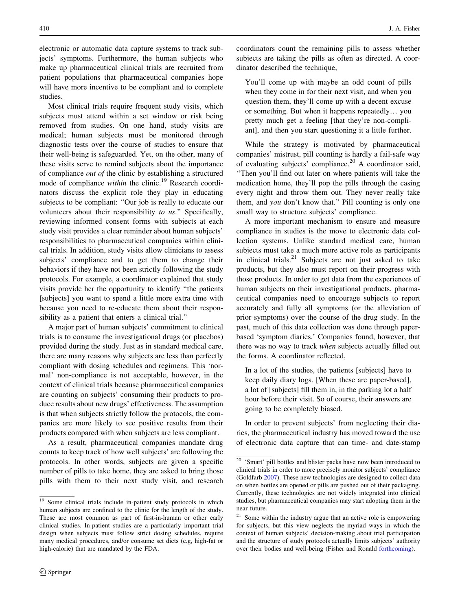electronic or automatic data capture systems to track subjects' symptoms. Furthermore, the human subjects who make up pharmaceutical clinical trials are recruited from patient populations that pharmaceutical companies hope will have more incentive to be compliant and to complete studies.

Most clinical trials require frequent study visits, which subjects must attend within a set window or risk being removed from studies. On one hand, study visits are medical; human subjects must be monitored through diagnostic tests over the course of studies to ensure that their well-being is safeguarded. Yet, on the other, many of these visits serve to remind subjects about the importance of compliance out of the clinic by establishing a structured mode of compliance *within* the clinic.<sup>19</sup> Research coordinators discuss the explicit role they play in educating subjects to be compliant: "Our job is really to educate our volunteers about their responsibility to us." Specifically, reviewing informed consent forms with subjects at each study visit provides a clear reminder about human subjects' responsibilities to pharmaceutical companies within clinical trials. In addition, study visits allow clinicians to assess subjects' compliance and to get them to change their behaviors if they have not been strictly following the study protocols. For example, a coordinator explained that study visits provide her the opportunity to identify ''the patients [subjects] you want to spend a little more extra time with because you need to re-educate them about their responsibility as a patient that enters a clinical trial.''

A major part of human subjects' commitment to clinical trials is to consume the investigational drugs (or placebos) provided during the study. Just as in standard medical care, there are many reasons why subjects are less than perfectly compliant with dosing schedules and regimens. This 'normal' non-compliance is not acceptable, however, in the context of clinical trials because pharmaceutical companies are counting on subjects' consuming their products to produce results about new drugs' effectiveness. The assumption is that when subjects strictly follow the protocols, the companies are more likely to see positive results from their products compared with when subjects are less compliant.

As a result, pharmaceutical companies mandate drug counts to keep track of how well subjects' are following the protocols. In other words, subjects are given a specific number of pills to take home, they are asked to bring those pills with them to their next study visit, and research coordinators count the remaining pills to assess whether subjects are taking the pills as often as directed. A coordinator described the technique,

You'll come up with maybe an odd count of pills when they come in for their next visit, and when you question them, they'll come up with a decent excuse or something. But when it happens repeatedly… you pretty much get a feeling [that they're non-compliant], and then you start questioning it a little further.

While the strategy is motivated by pharmaceutical companies' mistrust, pill counting is hardly a fail-safe way of evaluating subjects' compliance.<sup>20</sup> A coordinator said, ''Then you'll find out later on where patients will take the medication home, they'll pop the pills through the casing every night and throw them out. They never really take them, and you don't know that.'' Pill counting is only one small way to structure subjects' compliance.

A more important mechanism to ensure and measure compliance in studies is the move to electronic data collection systems. Unlike standard medical care, human subjects must take a much more active role as participants in clinical trials. $21$  Subjects are not just asked to take products, but they also must report on their progress with those products. In order to get data from the experiences of human subjects on their investigational products, pharmaceutical companies need to encourage subjects to report accurately and fully all symptoms (or the alleviation of prior symptoms) over the course of the drug study. In the past, much of this data collection was done through paperbased 'symptom diaries.' Companies found, however, that there was no way to track when subjects actually filled out the forms. A coordinator reflected,

In a lot of the studies, the patients [subjects] have to keep daily diary logs. [When these are paper-based], a lot of [subjects] fill them in, in the parking lot a half hour before their visit. So of course, their answers are going to be completely biased.

In order to prevent subjects' from neglecting their diaries, the pharmaceutical industry has moved toward the use of electronic data capture that can time- and date-stamp

<sup>&</sup>lt;sup>19</sup> Some clinical trials include in-patient study protocols in which human subjects are confined to the clinic for the length of the study. These are most common as part of first-in-human or other early clinical studies. In-patient studies are a particularly important trial design when subjects must follow strict dosing schedules, require many medical procedures, and/or consume set diets (e.g, high-fat or high-calorie) that are mandated by the FDA.

<sup>&</sup>lt;sup>20</sup> 'Smart' pill bottles and blister packs have now been introduced to clinical trials in order to more precisely monitor subjects' compliance (Goldfarb [2007\)](#page-10-0). These new technologies are designed to collect data on when bottles are opened or pills are pushed out of their packaging. Currently, these technologies are not widely integrated into clinical studies, but pharmaceutical companies may start adopting them in the near future.

<sup>&</sup>lt;sup>21</sup> Some within the industry argue that an active role is empowering for subjects, but this view neglects the myriad ways in which the context of human subjects' decision-making about trial participation and the structure of study protocols actually limits subjects' authority over their bodies and well-being (Fisher and Ronald [forthcoming\)](#page-9-0).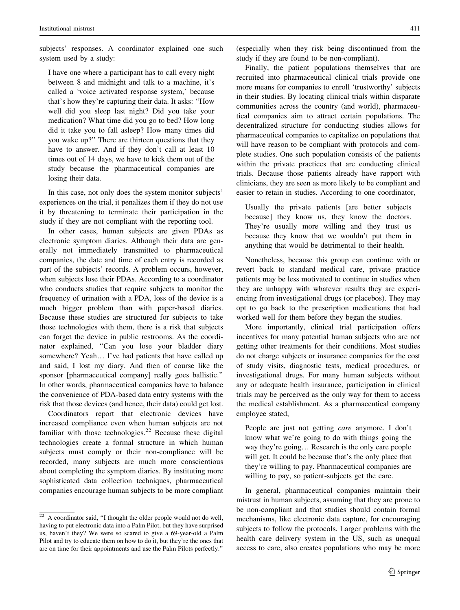subjects' responses. A coordinator explained one such system used by a study:

I have one where a participant has to call every night between 8 and midnight and talk to a machine, it's called a 'voice activated response system,' because that's how they're capturing their data. It asks: ''How well did you sleep last night? Did you take your medication? What time did you go to bed? How long did it take you to fall asleep? How many times did you wake up?'' There are thirteen questions that they have to answer. And if they don't call at least 10 times out of 14 days, we have to kick them out of the study because the pharmaceutical companies are losing their data.

In this case, not only does the system monitor subjects' experiences on the trial, it penalizes them if they do not use it by threatening to terminate their participation in the study if they are not compliant with the reporting tool.

In other cases, human subjects are given PDAs as electronic symptom diaries. Although their data are generally not immediately transmitted to pharmaceutical companies, the date and time of each entry is recorded as part of the subjects' records. A problem occurs, however, when subjects lose their PDAs. According to a coordinator who conducts studies that require subjects to monitor the frequency of urination with a PDA, loss of the device is a much bigger problem than with paper-based diaries. Because these studies are structured for subjects to take those technologies with them, there is a risk that subjects can forget the device in public restrooms. As the coordinator explained, "Can you lose your bladder diary somewhere? Yeah… I've had patients that have called up and said, I lost my diary. And then of course like the sponsor [pharmaceutical company] really goes ballistic.'' In other words, pharmaceutical companies have to balance the convenience of PDA-based data entry systems with the risk that those devices (and hence, their data) could get lost.

Coordinators report that electronic devices have increased compliance even when human subjects are not familiar with those technologies.<sup>22</sup> Because these digital technologies create a formal structure in which human subjects must comply or their non-compliance will be recorded, many subjects are much more conscientious about completing the symptom diaries. By instituting more sophisticated data collection techniques, pharmaceutical companies encourage human subjects to be more compliant

Finally, the patient populations themselves that are recruited into pharmaceutical clinical trials provide one more means for companies to enroll 'trustworthy' subjects in their studies. By locating clinical trials within disparate communities across the country (and world), pharmaceutical companies aim to attract certain populations. The decentralized structure for conducting studies allows for pharmaceutical companies to capitalize on populations that will have reason to be compliant with protocols and complete studies. One such population consists of the patients within the private practices that are conducting clinical trials. Because those patients already have rapport with clinicians, they are seen as more likely to be compliant and easier to retain in studies. According to one coordinator,

Usually the private patients [are better subjects because] they know us, they know the doctors. They're usually more willing and they trust us because they know that we wouldn't put them in anything that would be detrimental to their health.

Nonetheless, because this group can continue with or revert back to standard medical care, private practice patients may be less motivated to continue in studies when they are unhappy with whatever results they are experiencing from investigational drugs (or placebos). They may opt to go back to the prescription medications that had worked well for them before they began the studies.

More importantly, clinical trial participation offers incentives for many potential human subjects who are not getting other treatments for their conditions. Most studies do not charge subjects or insurance companies for the cost of study visits, diagnostic tests, medical procedures, or investigational drugs. For many human subjects without any or adequate health insurance, participation in clinical trials may be perceived as the only way for them to access the medical establishment. As a pharmaceutical company employee stated,

People are just not getting care anymore. I don't know what we're going to do with things going the way they're going… Research is the only care people will get. It could be because that's the only place that they're willing to pay. Pharmaceutical companies are willing to pay, so patient-subjects get the care.

In general, pharmaceutical companies maintain their mistrust in human subjects, assuming that they are prone to be non-compliant and that studies should contain formal mechanisms, like electronic data capture, for encouraging subjects to follow the protocols. Larger problems with the health care delivery system in the US, such as unequal access to care, also creates populations who may be more

 $\overline{22}$  A coordinator said, "I thought the older people would not do well, having to put electronic data into a Palm Pilot, but they have surprised us, haven't they? We were so scared to give a 69-year-old a Palm Pilot and try to educate them on how to do it, but they're the ones that are on time for their appointments and use the Palm Pilots perfectly.''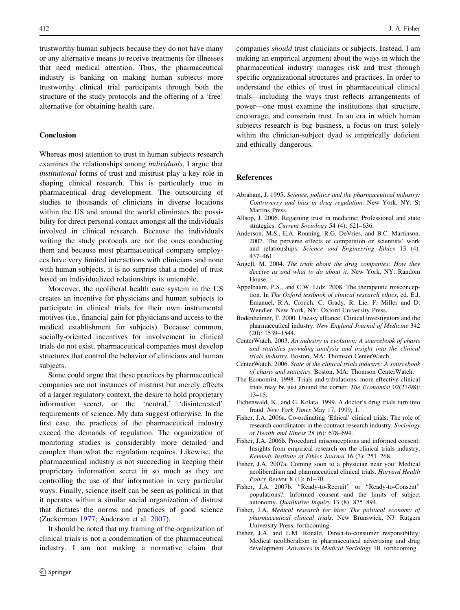trustworthy human subjects because they do not have many or any alternative means to receive treatments for illnesses that need medical attention. Thus, the pharmaceutical industry is banking on making human subjects more trustworthy clinical trial participants through both the structure of the study protocols and the offering of a 'free' alternative for obtaining health care.

# Conclusion

Whereas most attention to trust in human subjects research examines the relationships among individuals, I argue that institutional forms of trust and mistrust play a key role in shaping clinical research. This is particularly true in pharmaceutical drug development. The outsourcing of studies to thousands of clinicians in diverse locations within the US and around the world eliminates the possibility for direct personal contact amongst all the individuals involved in clinical research. Because the individuals writing the study protocols are not the ones conducting them and because most pharmaceutical company employees have very limited interactions with clinicians and none with human subjects, it is no surprise that a model of trust based on individualized relationships is untenable.

Moreover, the neoliberal health care system in the US creates an incentive for physicians and human subjects to participate in clinical trials for their own instrumental motives (i.e., financial gain for physicians and access to the medical establishment for subjects). Because common, socially-oriented incentives for involvement in clinical trials do not exist, pharmaceutical companies must develop structures that control the behavior of clinicians and human subjects.

Some could argue that these practices by pharmaceutical companies are not instances of mistrust but merely effects of a larger regulatory context, the desire to hold proprietary information secret, or the 'neutral,' 'disinterested' requirements of science. My data suggest otherwise. In the first case, the practices of the pharmaceutical industry exceed the demands of regulation. The organization of monitoring studies is considerably more detailed and complex than what the regulation requires. Likewise, the pharmaceutical industry is not succeeding in keeping their proprietary information secret in so much as they are controlling the use of that information in very particular ways. Finally, science itself can be seen as political in that it operates within a similar social organization of distrust that dictates the norms and practices of good science (Zuckerman [1977](#page-10-0); Anderson et al. [2007](#page-9-0)).

<span id="page-9-0"></span>It should be noted that my framing of the organization of clinical trials is not a condemnation of the pharmaceutical industry. I am not making a normative claim that

companies should trust clinicians or subjects. Instead, I am making an empirical argument about the ways in which the pharmaceutical industry manages risk and trust through specific organizational structures and practices. In order to understand the ethics of trust in pharmaceutical clinical trials—including the ways trust reflects arrangements of power—one must examine the institutions that structure, encourage, and constrain trust. In an era in which human subjects research is big business, a focus on trust solely within the clinician-subject dyad is empirically deficient and ethically dangerous.

## References

- Abraham, J. 1995. Science, politics and the pharmaceutical industry: Controversy and bias in drug regulation. New York, NY: St Martins Press.
- Allsop, J. 2006. Regaining trust in medicine: Professional and state strategies. Current Sociology 54 (4): 621–636.
- Anderson, M.S., E.A. Ronning, R.G. DeVries, and B.C. Martinson. 2007. The perverse effects of competition on scientists' work and relationships. Science and Engineering Ethics 13 (4): 437–461.
- Angell, M. 2004. The truth about the drug companies: How they deceive us and what to do about it. New York, NY: Random House.
- Appelbaum, P.S., and C.W. Lidz. 2008. The therapeutic misconception. In The Oxford textbook of clinical research ethics, ed. E.J. Emanuel, R.A. Crouch, C. Grady, R. Lie, F. Miller and D. Wendler. New York, NY: Oxford University Press.
- Bodenheimer, T. 2000. Uneasy alliance: Clinical investigators and the pharmaceutical industry. New England Journal of Medicine 342 (20): 1539–1544.
- CenterWatch. 2003. An industry in evolution: A sourcebook of charts and statistics providing analysis and insight into the clinical trials industry. Boston, MA: Thomson CenterWatch.
- CenterWatch. 2006. State of the clinical trials industry: A sourcebook of charts and statistics. Boston, MA: Thomson CenterWatch.
- The Economist. 1998. Trials and tribulations: more effective clinical trials may be just around the corner. The Economist 02(21/98): 13–15.
- Eichenwald, K., and G. Kolata. 1999. A doctor's drug trials turn into fraud. New York Times May 17, 1999, 1.
- Fisher, J.A. 2006a. Co-ordinating 'Ethical' clinical trials: The role of research coordinators in the contract research industry. Sociology of Health and Illness 28 (6): 678–694.
- Fisher, J.A. 2006b. Procedural misconceptions and informed consent: Insights from empirical research on the clinical trials industry. Kennedy Institute of Ethics Journal 16 (3): 251–268.
- Fisher, J.A. 2007a. Coming soon to a physician near you: Medical neoliberalism and pharmaceutical clinical trials. Harvard Health Policy Review 8 (1): 61–70.
- Fisher, J.A. 2007b. "Ready-to-Recruit" or "Ready-to-Consent" populations?: Informed consent and the limits of subject autonomy. Qualitative Inquiry 13 (8): 875–894.
- Fisher, J.A. Medical research for hire: The political economy of pharmaceutical clinical trials. New Brunswick, NJ: Rutgers University Press, forthcoming.
- Fisher, J.A. and L.M. Ronald. Direct-to-consumer responsibility: Medical neoliberalism in pharmaceutical advertising and drug development. Advances in Medical Sociology 10, forthcoming.